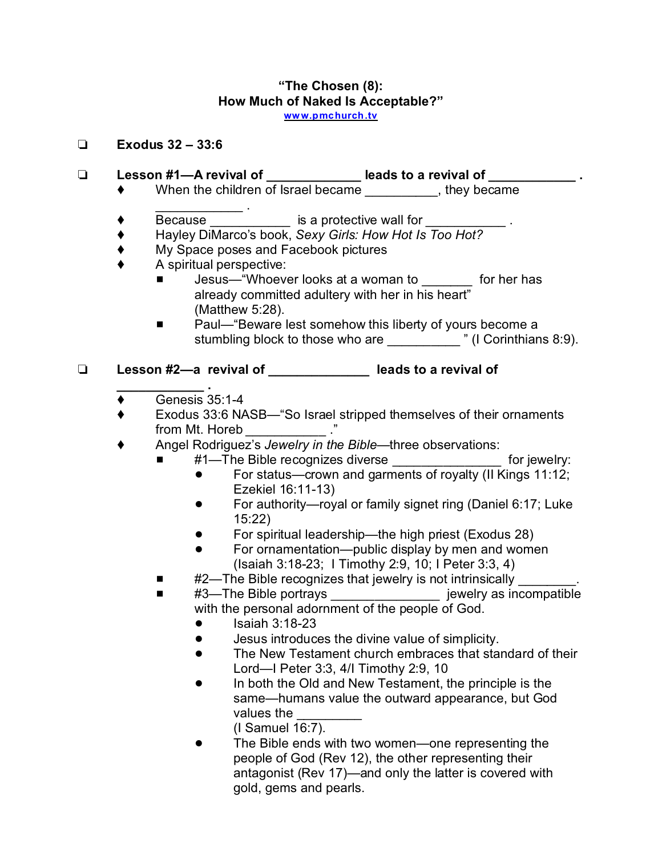#### **"The Chosen (8): How Much of Naked Is Acceptable?" ww [w.pmchurch.tv](http://www.pmchurch.tv)**

### **Exodus 32 – 33:6**

# **Lesson #1—A revival of \_\_\_\_\_\_\_\_\_\_\_\_\_ leads to a revival of \_\_\_\_\_\_\_\_\_\_\_\_ .**

- When the children of Israel became \_\_\_\_\_\_\_\_\_\_, they became
- $\mathcal{L}_\text{max}$  . The set of the set of the set of the set of the set of the set of the set of the set of the set of the set of the set of the set of the set of the set of the set of the set of the set of the set of the set  $\blacklozenge$  Because  $\_\_\_\_\_\_\_\$  is a protective wall for  $\_\_\_\_\_\_\_\_\_\_\_\_\_\_\_\_$ .
- Hayley DiMarco's book, *Sexy Girls: How Hot Is Too Hot?*
- ◆ My Space poses and Facebook pictures
- A spiritual perspective:
	- Jesus—"Whoever looks at a woman to \_\_\_\_\_\_ for her has already committed adultery with her in his heart" (Matthew 5:28).
	- Paul— "Beware lest somehow this liberty of yours become a stumbling block to those who are \_\_\_\_\_\_\_\_\_\_\_\_" (I Corinthians 8:9).

# **Lesson #2—a revival of \_\_\_\_\_\_\_\_\_\_\_\_\_\_ leads to a revival of**

- **\_\_\_\_\_\_\_\_\_\_\_\_ .**  $\triangleleft$  Genesis 35:1-4
- Exodus 33:6 NASB—"So Israel stripped themselves of their ornaments from Mt. Horeb *\_\_\_\_\_\_\_\_\_\_*\_ ."
- Angel Rodriguez's *Jewelry in the Bible—*three observations:
	- #1—The Bible recognizes diverse \_\_\_\_\_\_\_\_\_\_\_\_\_\_\_\_\_\_ for jewelry:
		- For status—crown and garments of royalty (II Kings 11:12; Ezekiel 16:11-13)
		- For authority—royal or family signet ring (Daniel 6:17; Luke 15:22)
		- ! For spiritual leadership—the high priest (Exodus 28)
		- For ornamentation—public display by men and women (Isaiah 3:18-23; I Timothy 2:9, 10; I Peter 3:3, 4)
	- #2—The Bible recognizes that jewelry is not intrinsically
	- #3—The Bible portrays \_\_\_\_\_\_\_\_\_\_\_\_\_\_\_\_\_\_\_\_\_ jewelry as incompatible with the personal adornment of the people of God.
		- $\bullet$  Isaiah 3:18-23
		- **•** Jesus introduces the divine value of simplicity.
		- The New Testament church embraces that standard of their Lord—I Peter 3:3, 4/I Timothy 2:9, 10
		- In both the Old and New Testament, the principle is the same—humans value the outward appearance, but God values the

(I Samuel 16:7).

The Bible ends with two women—one representing the people of God (Rev 12), the other representing their antagonist (Rev 17)—and only the latter is covered with gold, gems and pearls.